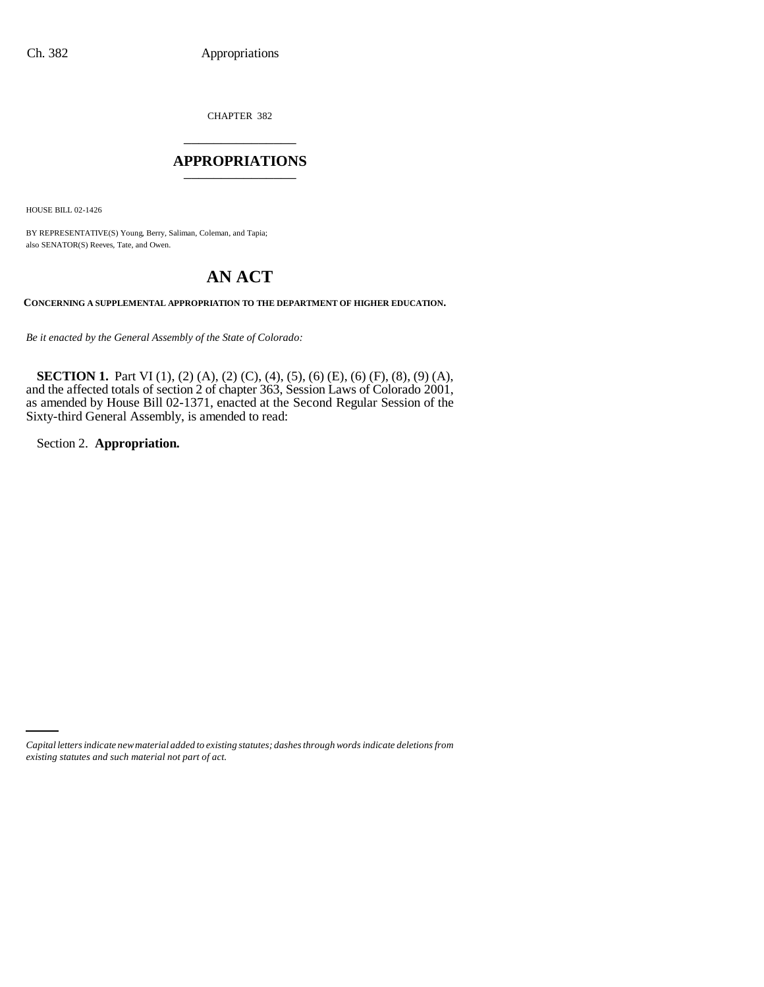CHAPTER 382 \_\_\_\_\_\_\_\_\_\_\_\_\_\_\_

### **APPROPRIATIONS** \_\_\_\_\_\_\_\_\_\_\_\_\_\_\_

HOUSE BILL 02-1426

BY REPRESENTATIVE(S) Young, Berry, Saliman, Coleman, and Tapia; also SENATOR(S) Reeves, Tate, and Owen.

# **AN ACT**

**CONCERNING A SUPPLEMENTAL APPROPRIATION TO THE DEPARTMENT OF HIGHER EDUCATION.**

*Be it enacted by the General Assembly of the State of Colorado:*

**SECTION 1.** Part VI (1), (2) (A), (2) (C), (4), (5), (6) (E), (6) (F), (8), (9) (A), and the affected totals of section 2 of chapter 363, Session Laws of Colorado 2001, as amended by House Bill 02-1371, enacted at the Second Regular Session of the Sixty-third General Assembly, is amended to read:

Section 2. **Appropriation.**

*Capital letters indicate new material added to existing statutes; dashes through words indicate deletions from existing statutes and such material not part of act.*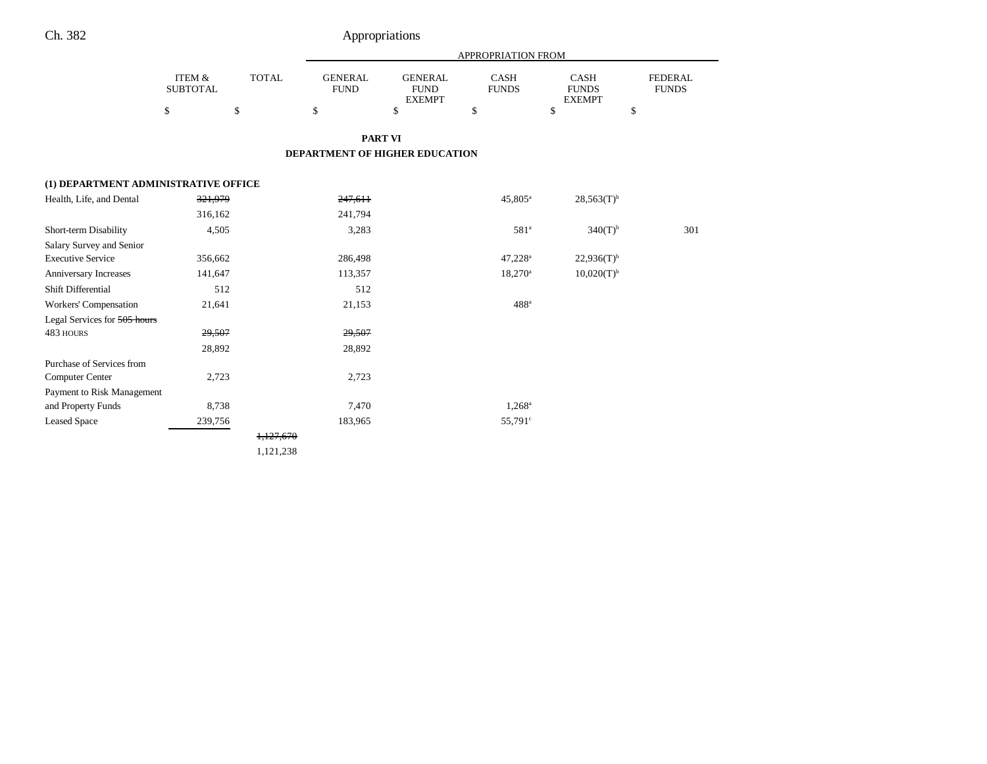|                                      |                                      |              | <b>APPROPRIATION FROM</b>     |                                                |                      |                                       |                                |
|--------------------------------------|--------------------------------------|--------------|-------------------------------|------------------------------------------------|----------------------|---------------------------------------|--------------------------------|
|                                      | <b>ITEM &amp;</b><br><b>SUBTOTAL</b> | <b>TOTAL</b> | <b>GENERAL</b><br><b>FUND</b> | <b>GENERAL</b><br><b>FUND</b><br><b>EXEMPT</b> | CASH<br><b>FUNDS</b> | CASH<br><b>FUNDS</b><br><b>EXEMPT</b> | <b>FEDERAL</b><br><b>FUNDS</b> |
|                                      | \$                                   | \$           | \$                            | \$                                             | \$                   | \$                                    | \$                             |
|                                      |                                      |              |                               | <b>PART VI</b>                                 |                      |                                       |                                |
|                                      |                                      |              |                               | <b>DEPARTMENT OF HIGHER EDUCATION</b>          |                      |                                       |                                |
| (1) DEPARTMENT ADMINISTRATIVE OFFICE |                                      |              |                               |                                                |                      |                                       |                                |
| Health, Life, and Dental             | 321,979                              |              | 247,611                       |                                                | $45,805^{\rm a}$     | $28,563(T)$ <sup>b</sup>              |                                |
|                                      | 316,162                              |              | 241,794                       |                                                |                      |                                       |                                |
| Short-term Disability                | 4,505                                |              | 3,283                         |                                                | 581 <sup>a</sup>     | $340(T)$ <sup>b</sup>                 | 301                            |
| Salary Survey and Senior             |                                      |              |                               |                                                |                      |                                       |                                |
| <b>Executive Service</b>             | 356,662                              |              | 286,498                       |                                                | 47,228 <sup>a</sup>  | $22,936(T)^{b}$                       |                                |
| Anniversary Increases                | 141,647                              |              | 113,357                       |                                                | $18,270^a$           | $10,020(T)^{b}$                       |                                |
| Shift Differential                   | 512                                  |              | 512                           |                                                |                      |                                       |                                |
| Workers' Compensation                | 21,641                               |              | 21,153                        |                                                | $488$ <sup>a</sup>   |                                       |                                |
| Legal Services for 505 hours         |                                      |              |                               |                                                |                      |                                       |                                |
| 483 HOURS                            | 29,507                               |              | 29,507                        |                                                |                      |                                       |                                |
|                                      | 28,892                               |              | 28,892                        |                                                |                      |                                       |                                |
| Purchase of Services from            |                                      |              |                               |                                                |                      |                                       |                                |
| Computer Center                      | 2,723                                |              | 2,723                         |                                                |                      |                                       |                                |
| Payment to Risk Management           |                                      |              |                               |                                                |                      |                                       |                                |
| and Property Funds                   | 8,738                                |              | 7,470                         |                                                | $1,268^{\circ}$      |                                       |                                |
| <b>Leased Space</b>                  | 239,756                              |              | 183,965                       |                                                | 55,791 <sup>c</sup>  |                                       |                                |
|                                      |                                      | 1,127,670    |                               |                                                |                      |                                       |                                |
|                                      |                                      | 1,121,238    |                               |                                                |                      |                                       |                                |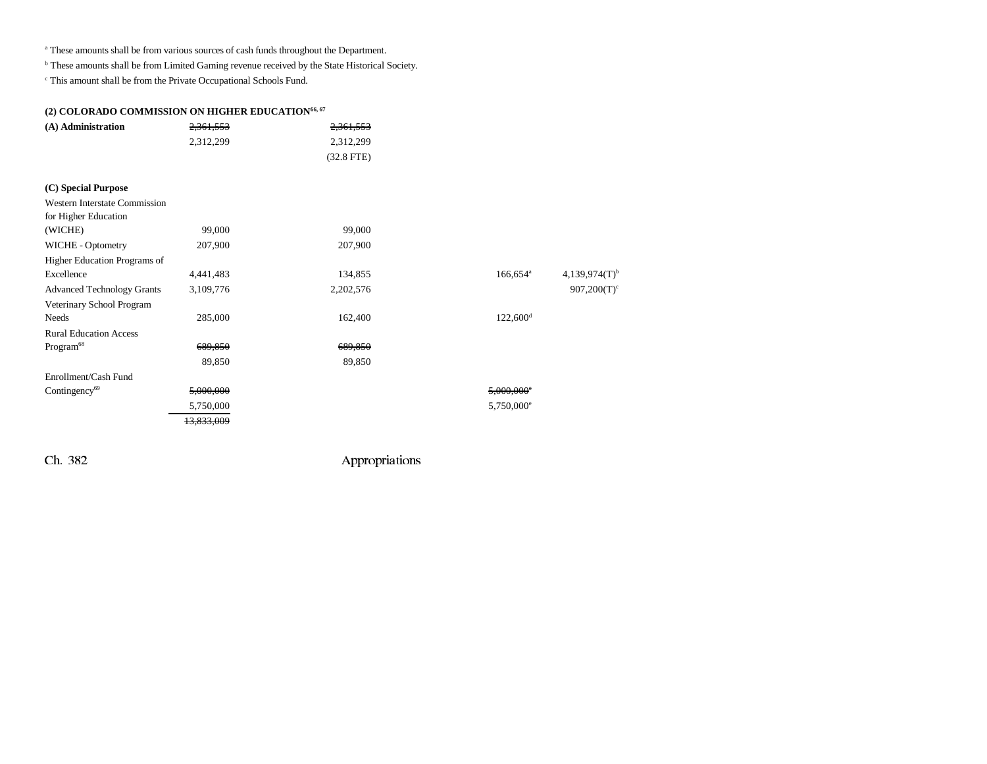<sup>a</sup> These amounts shall be from various sources of cash funds throughout the Department.

b These amounts shall be from Limited Gaming revenue received by the State Historical Society.

 $\,^{\mathrm{c}}$  This amount shall be from the Private Occupational Schools Fund.

## (2) COLORADO COMMISSION ON HIGHER EDUCATION<sup>66, 67</sup>

| (A) Administration | <del>2,361,553</del> | <del>2,361,553</del> |
|--------------------|----------------------|----------------------|
|                    | 2.312.299            | 2.312.299            |
|                    |                      | $(32.8$ FTE)         |

| (C) Special Purpose                  |                       |           |                          |                             |
|--------------------------------------|-----------------------|-----------|--------------------------|-----------------------------|
| <b>Western Interstate Commission</b> |                       |           |                          |                             |
| for Higher Education                 |                       |           |                          |                             |
| (WICHE)                              | 99,000                | 99,000    |                          |                             |
| WICHE - Optometry                    | 207,900               | 207,900   |                          |                             |
| Higher Education Programs of         |                       |           |                          |                             |
| Excellence                           | 4,441,483             | 134,855   | $166,654$ <sup>a</sup>   | $4,139,974(T)$ <sup>b</sup> |
| <b>Advanced Technology Grants</b>    | 3,109,776             | 2,202,576 |                          | $907,200(T)^c$              |
| Veterinary School Program            |                       |           |                          |                             |
| <b>Needs</b>                         | 285,000               | 162,400   | $122,600$ <sup>d</sup>   |                             |
| <b>Rural Education Access</b>        |                       |           |                          |                             |
| Program <sup>68</sup>                | 689,850               | 689,850   |                          |                             |
|                                      | 89,850                | 89,850    |                          |                             |
| Enrollment/Cash Fund                 |                       |           |                          |                             |
| Contingency <sup>69</sup>            | 5,000,000             |           | $5,000,000$ <sup>c</sup> |                             |
|                                      | 5,750,000             |           | 5,750,000 <sup>e</sup>   |                             |
|                                      | <del>13,833,009</del> |           |                          |                             |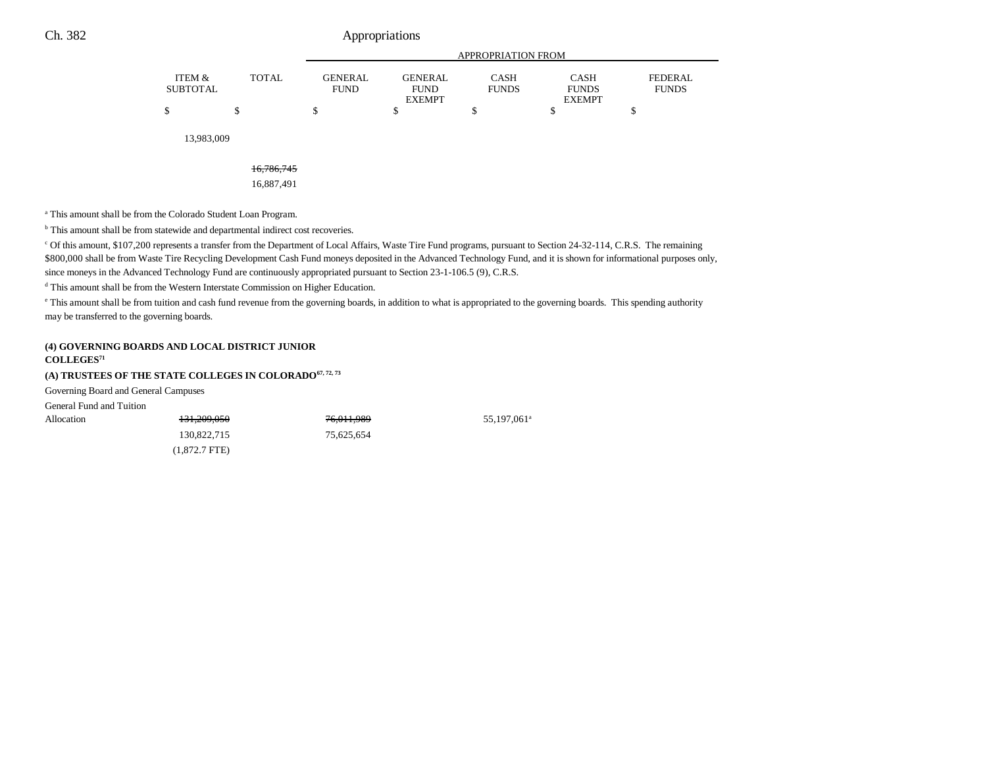|                                           |                               | APPROPRIATION FROM            |                             |                             |                         |  |  |
|-------------------------------------------|-------------------------------|-------------------------------|-----------------------------|-----------------------------|-------------------------|--|--|
| ITEM &<br><b>TOTAL</b><br><b>SUBTOTAL</b> | <b>GENERAL</b><br><b>FUND</b> | <b>GENERAL</b><br><b>FUND</b> | <b>CASH</b><br><b>FUNDS</b> | <b>CASH</b><br><b>FUNDS</b> | FEDERAL<br><b>FUNDS</b> |  |  |
|                                           |                               | <b>EXEMPT</b>                 |                             | <b>EXEMPT</b>               |                         |  |  |
| \$                                        |                               |                               |                             |                             |                         |  |  |

55,197,061<sup>a</sup>

13,983,009

#### 16,786,745

16,887,491

a This amount shall be from the Colorado Student Loan Program.

<sup>b</sup> This amount shall be from statewide and departmental indirect cost recoveries.

c Of this amount, \$107,200 represents a transfer from the Department of Local Affairs, Waste Tire Fund programs, pursuant to Section 24-32-114, C.R.S. The remaining \$800,000 shall be from Waste Tire Recycling Development Cash Fund moneys deposited in the Advanced Technology Fund, and it is shown for informational purposes only, since moneys in the Advanced Technology Fund are continuously appropriated pursuant to Section 23-1-106.5 (9), C.R.S.

d This amount shall be from the Western Interstate Commission on Higher Education.

e This amount shall be from tuition and cash fund revenue from the governing boards, in addition to what is appropriated to the governing boards. This spending authority may be transferred to the governing boards.

#### **(4) GOVERNING BOARDS AND LOCAL DISTRICT JUNIOR**

#### **COLLEGES<sup>71</sup>**

### (A) TRUSTEES OF THE STATE COLLEGES IN COLORADO<sup>67, 72, 73</sup>

Governing Board and General Campuses

General Fund and Tuition

| Allocation | 131,209,050     | 76,011,989 |
|------------|-----------------|------------|
|            | 130,822,715     | 75.625.654 |
|            | $(1,872.7$ FTE) |            |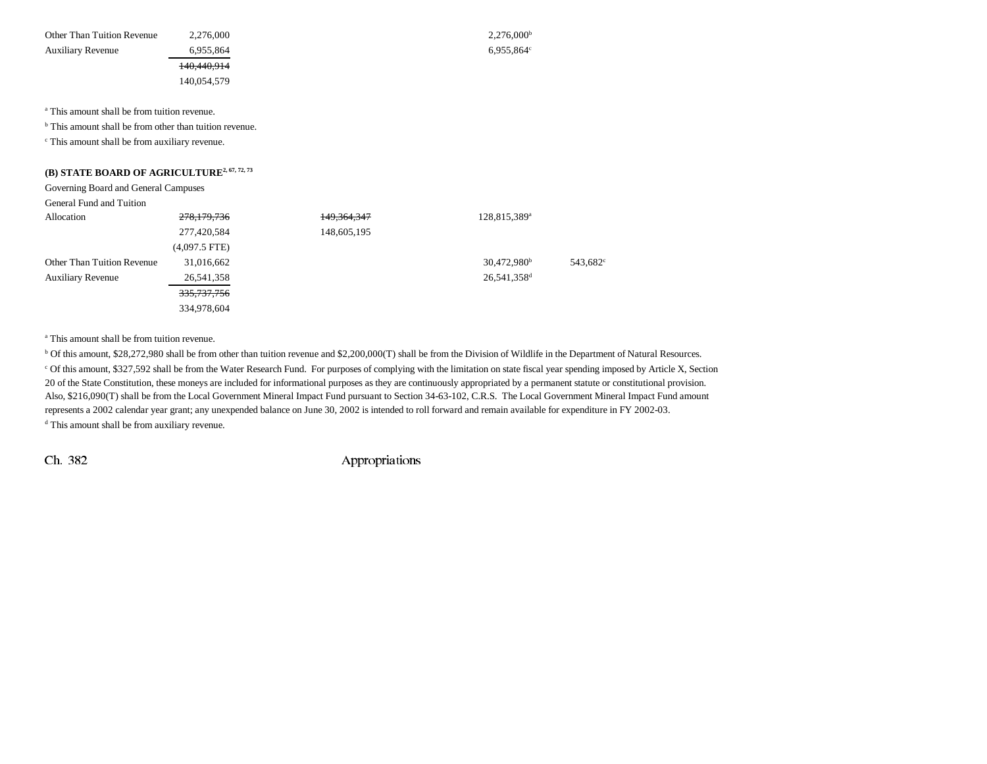| Other Than Tuition Revenue | 2.276.000   | 2.276,000 <sup>b</sup>   |
|----------------------------|-------------|--------------------------|
| <b>Auxiliary Revenue</b>   | 6.955.864   | $6.955.864$ <sup>c</sup> |
|                            | 140,440,914 |                          |
|                            | 140.054.579 |                          |

a This amount shall be from tuition revenue.

<sup>b</sup> This amount shall be from other than tuition revenue.

c This amount shall be from auxiliary revenue.

## **(B) STATE BOARD OF AGRICULTURE2, 67, 72, 73**

Governing Board and General Campuses

| General Fund and Tuition |  |  |  |
|--------------------------|--|--|--|
|--------------------------|--|--|--|

| ocheral i and and range           |                        |               |                          |                      |
|-----------------------------------|------------------------|---------------|--------------------------|----------------------|
| Allocation                        | 278,179,736            | 149, 364, 347 | 128,815,389 <sup>a</sup> |                      |
|                                   | 277,420,584            | 148,605,195   |                          |                      |
|                                   | $(4,097.5$ FTE)        |               |                          |                      |
| <b>Other Than Tuition Revenue</b> | 31,016,662             |               | $30,472,980^{\rm b}$     | 543.682 <sup>c</sup> |
| <b>Auxiliary Revenue</b>          | 26,541,358             |               | 26,541,358 <sup>d</sup>  |                      |
|                                   | <del>335,737,756</del> |               |                          |                      |
|                                   | 334,978,604            |               |                          |                      |

a This amount shall be from tuition revenue.

b Of this amount, \$28,272,980 shall be from other than tuition revenue and \$2,200,000(T) shall be from the Division of Wildlife in the Department of Natural Resources. c Of this amount, \$327,592 shall be from the Water Research Fund. For purposes of complying with the limitation on state fiscal year spending imposed by Article X, Section 20 of the State Constitution, these moneys are included for informational purposes as they are continuously appropriated by a permanent statute or constitutional provision. Also, \$216,090(T) shall be from the Local Government Mineral Impact Fund pursuant to Section 34-63-102, C.R.S. The Local Government Mineral Impact Fund amount represents a 2002 calendar year grant; any unexpended balance on June 30, 2002 is intended to roll forward and remain available for expenditure in FY 2002-03. <sup>d</sup> This amount shall be from auxiliary revenue.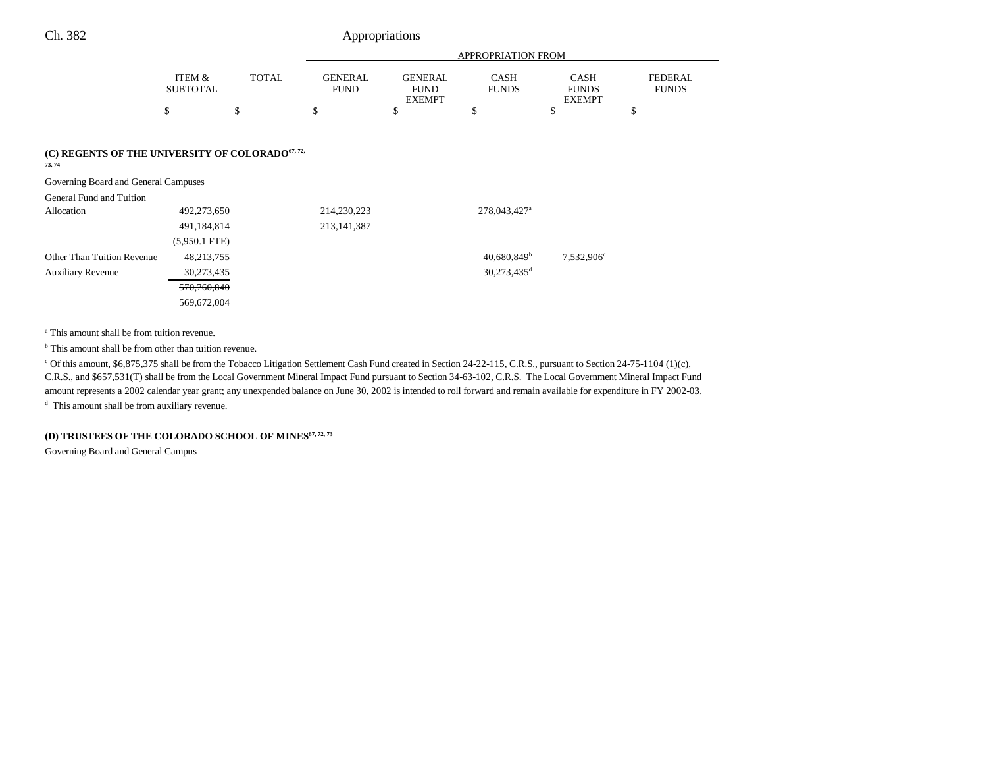|                                                                        |                           |              | <b>APPROPRIATION FROM</b>     |                                                |                             |                                              |                                |
|------------------------------------------------------------------------|---------------------------|--------------|-------------------------------|------------------------------------------------|-----------------------------|----------------------------------------------|--------------------------------|
|                                                                        | ITEM &<br><b>SUBTOTAL</b> | <b>TOTAL</b> | <b>GENERAL</b><br><b>FUND</b> | <b>GENERAL</b><br><b>FUND</b><br><b>EXEMPT</b> | <b>CASH</b><br><b>FUNDS</b> | <b>CASH</b><br><b>FUNDS</b><br><b>EXEMPT</b> | <b>FEDERAL</b><br><b>FUNDS</b> |
|                                                                        | \$                        | \$           | \$                            | \$                                             | \$                          | \$                                           | \$                             |
| (C) REGENTS OF THE UNIVERSITY OF COLORADO <sup>67, 72,</sup><br>73, 74 |                           |              |                               |                                                |                             |                                              |                                |
| Governing Board and General Campuses                                   |                           |              |                               |                                                |                             |                                              |                                |
| General Fund and Tuition                                               |                           |              |                               |                                                |                             |                                              |                                |
| Allocation                                                             | 492,273,650               |              | 214,230,223                   |                                                | 278,043,427 <sup>a</sup>    |                                              |                                |
|                                                                        | 491,184,814               |              | 213, 141, 387                 |                                                |                             |                                              |                                |
|                                                                        | $(5,950.1$ FTE)           |              |                               |                                                |                             |                                              |                                |
| <b>Other Than Tuition Revenue</b>                                      | 48,213,755                |              |                               |                                                | 40.680.849 <sup>b</sup>     | 7,532,906°                                   |                                |

Auxiliary Revenue  $30,273,435$   $30,273,435$   $30,273,435$ 570,760,840

569,672,004

a This amount shall be from tuition revenue.

<sup>b</sup> This amount shall be from other than tuition revenue.

<sup>c</sup> Of this amount, \$6,875,375 shall be from the Tobacco Litigation Settlement Cash Fund created in Section 24-22-115, C.R.S., pursuant to Section 24-75-1104 (1)(c), C.R.S., and \$657,531(T) shall be from the Local Government Mineral Impact Fund pursuant to Section 34-63-102, C.R.S. The Local Government Mineral Impact Fund amount represents a 2002 calendar year grant; any unexpended balance on June 30, 2002 is intended to roll forward and remain available for expenditure in FY 2002-03.

d This amount shall be from auxiliary revenue.

#### (D) TRUSTEES OF THE COLORADO SCHOOL OF MINES<sup>67, 72, 73</sup>

Governing Board and General Campus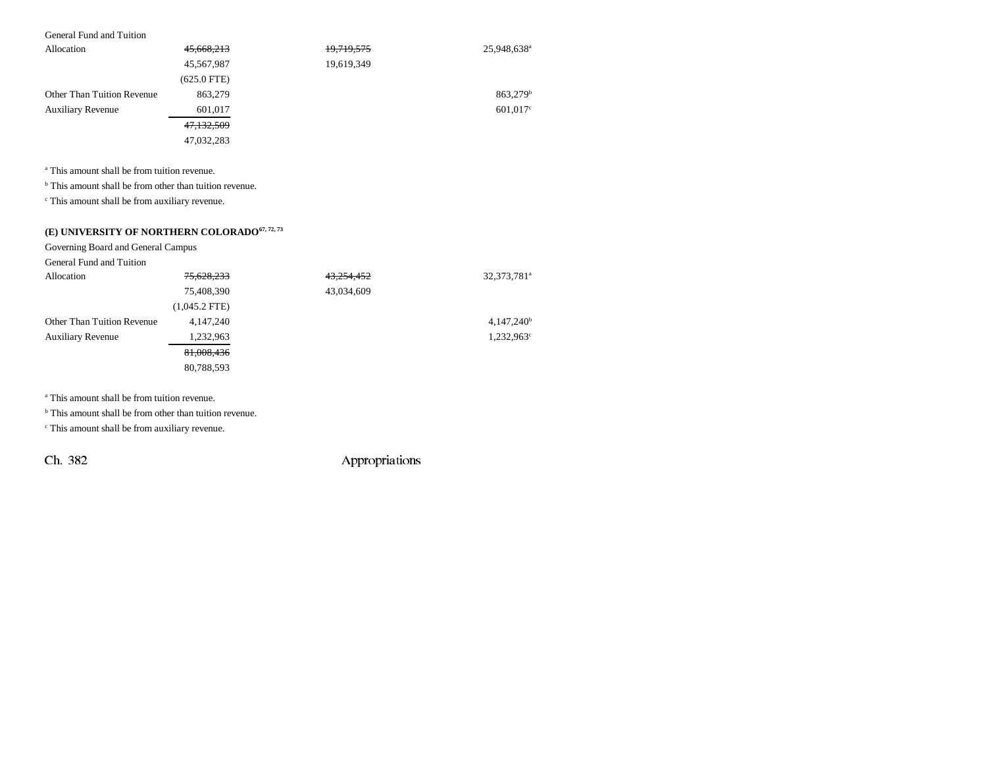#### General Fund and Tuition

| Allocation                        | 45,668,213    | 19,719,575 | 25,948,638 <sup>a</sup> |
|-----------------------------------|---------------|------------|-------------------------|
|                                   | 45,567,987    | 19,619,349 |                         |
|                                   | $(625.0$ FTE) |            |                         |
| <b>Other Than Tuition Revenue</b> | 863,279       |            | 863,279 <sup>b</sup>    |
| <b>Auxiliary Revenue</b>          | 601,017       |            | $601,017$ °             |
|                                   | 47,132,509    |            |                         |
|                                   | 47,032,283    |            |                         |

a This amount shall be from tuition revenue.

<sup>b</sup> This amount shall be from other than tuition revenue.

c This amount shall be from auxiliary revenue.

## (E) UNIVERSITY OF NORTHERN COLORADO $^{67, 72, 73}$

Governing Board and General Campus

| General Fund and Tuition   |                 |            |                         |
|----------------------------|-----------------|------------|-------------------------|
| Allocation                 | 75,628,233      | 43,254,452 | 32,373,781 <sup>a</sup> |
|                            | 75,408,390      | 43,034,609 |                         |
|                            | $(1,045.2$ FTE) |            |                         |
| Other Than Tuition Revenue | 4, 147, 240     |            | $4,147,240^b$           |
| <b>Auxiliary Revenue</b>   | 1,232,963       |            | $1,232,963^{\circ}$     |
|                            | 81,008,436      |            |                         |
|                            | 80.788.593      |            |                         |

a This amount shall be from tuition revenue.

<sup>b</sup> This amount shall be from other than tuition revenue.

c This amount shall be from auxiliary revenue.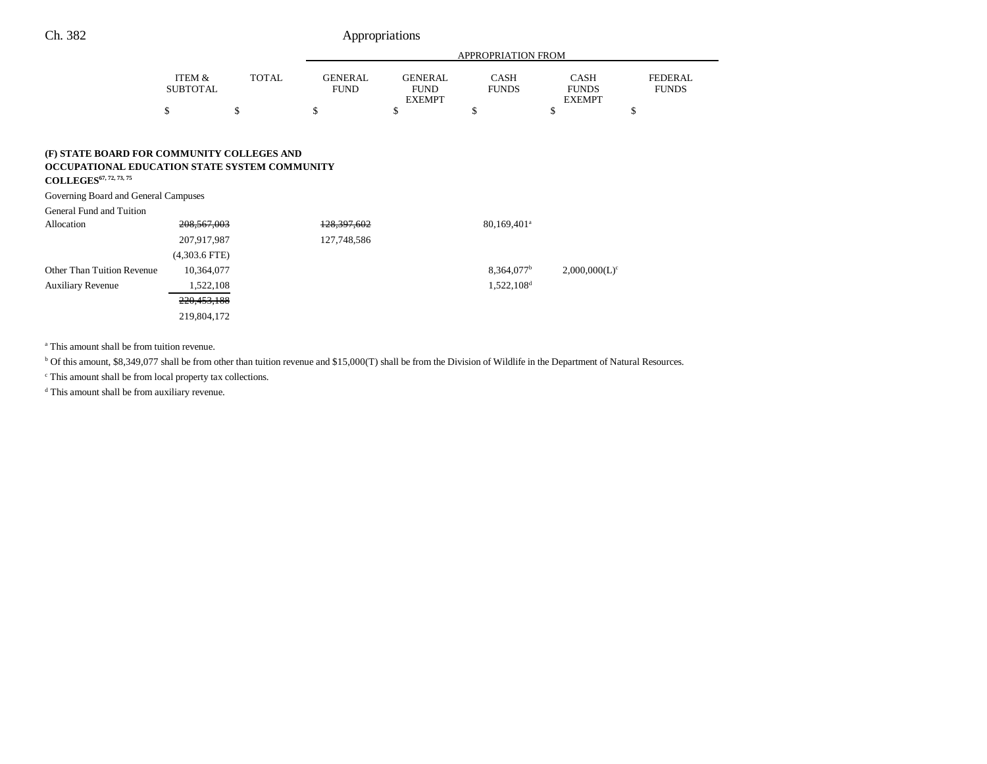|                                                                                                                               |                           |              | <b>APPROPRIATION FROM</b>     |                                                |                             |                                              |                                |
|-------------------------------------------------------------------------------------------------------------------------------|---------------------------|--------------|-------------------------------|------------------------------------------------|-----------------------------|----------------------------------------------|--------------------------------|
|                                                                                                                               | ITEM &<br><b>SUBTOTAL</b> | <b>TOTAL</b> | <b>GENERAL</b><br><b>FUND</b> | <b>GENERAL</b><br><b>FUND</b><br><b>EXEMPT</b> | <b>CASH</b><br><b>FUNDS</b> | <b>CASH</b><br><b>FUNDS</b><br><b>EXEMPT</b> | <b>FEDERAL</b><br><b>FUNDS</b> |
|                                                                                                                               | \$                        |              |                               | \$                                             |                             |                                              |                                |
|                                                                                                                               |                           |              |                               |                                                |                             |                                              |                                |
| (F) STATE BOARD FOR COMMUNITY COLLEGES AND<br>OCCUPATIONAL EDUCATION STATE SYSTEM COMMUNITY<br><b>COLLEGES</b> 67, 72, 73, 75 |                           |              |                               |                                                |                             |                                              |                                |

Governing Board and General Campuses

General Fund and Tuition

| Allocation                        | 208, 567, 003   | 128, 397, 602 | $80,169,401^{\circ}$     |                  |
|-----------------------------------|-----------------|---------------|--------------------------|------------------|
|                                   | 207,917,987     | 127,748,586   |                          |                  |
|                                   | $(4,303.6$ FTE) |               |                          |                  |
| <b>Other Than Tuition Revenue</b> | 10,364,077      |               | $8,364,077$ <sup>b</sup> | $2,000,000(L)^c$ |
| <b>Auxiliary Revenue</b>          | 1,522,108       |               | $1,522,108$ <sup>d</sup> |                  |
|                                   | 220,453,188     |               |                          |                  |
|                                   | 219,804,172     |               |                          |                  |

a This amount shall be from tuition revenue.

<sup>b</sup> Of this amount, \$8,349,077 shall be from other than tuition revenue and \$15,000(T) shall be from the Division of Wildlife in the Department of Natural Resources.

c This amount shall be from local property tax collections.

d This amount shall be from auxiliary revenue.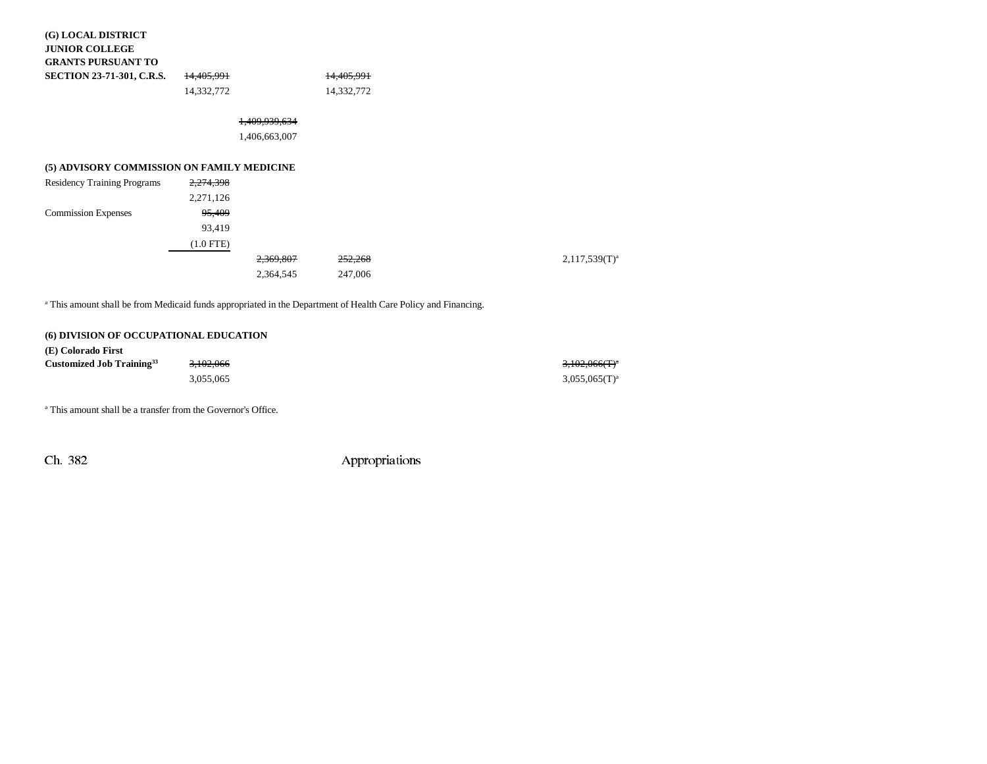| (G) LOCAL DISTRICT<br><b>JUNIOR COLLEGE</b> |                       |                          |                       |  |
|---------------------------------------------|-----------------------|--------------------------|-----------------------|--|
| <b>GRANTS PURSUANT TO</b>                   |                       |                          |                       |  |
| <b>SECTION 23-71-301, C.R.S.</b>            | <del>14,405,991</del> |                          | <del>14,405,991</del> |  |
|                                             | 14,332,772            |                          | 14,332,772            |  |
|                                             |                       | <del>1,409,939,634</del> |                       |  |
|                                             |                       | 1,406,663,007            |                       |  |
| (5) ADVISORY COMMISSION ON FAMILY MEDICINE  |                       |                          |                       |  |
| <b>Residency Training Programs</b>          | 2,274,398             |                          |                       |  |
|                                             | 2,271,126             |                          |                       |  |
| <b>Commission Expenses</b>                  | 95,409                |                          |                       |  |
|                                             | 93,419                |                          |                       |  |
|                                             | $(1.0$ FTE)           |                          |                       |  |
|                                             |                       | 2,369,807                | <del>252,268</del>    |  |
|                                             |                       | 2,364,545                | 247,006               |  |
|                                             |                       |                          |                       |  |

<sup>a</sup> This amount shall be from Medicaid funds appropriated in the Department of Health Care Policy and Financing.

## **(6) DIVISION OF OCCUPATIONAL EDUCATION**

| (E) Colorado First                    |           |                    |
|---------------------------------------|-----------|--------------------|
| Customized Job Training <sup>33</sup> | 3.102.066 | $3,102,066(T)^{a}$ |
|                                       | 3.055.065 | $3,055,065(T)^{a}$ |

a This amount shall be a transfer from the Governor's Office.

Ch. 382 Appropriations

 $2,117,539(T)^{a}$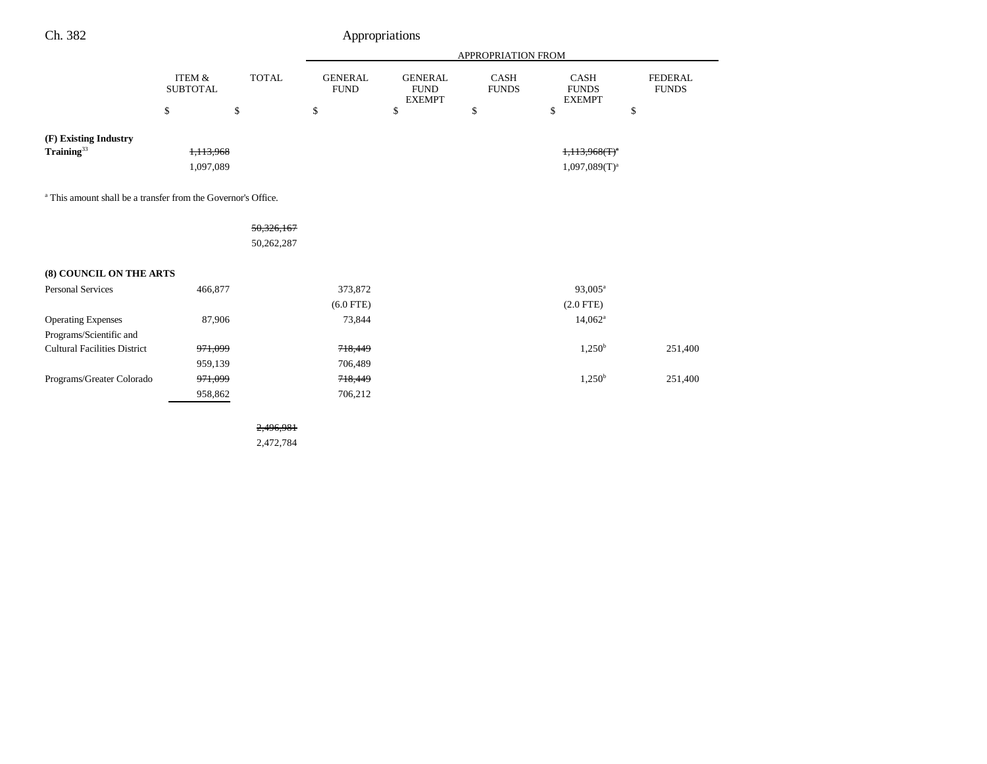| Ch. 382                                                                  |                           |              |                               | Appropriations                                 |                             |                                              |                                |
|--------------------------------------------------------------------------|---------------------------|--------------|-------------------------------|------------------------------------------------|-----------------------------|----------------------------------------------|--------------------------------|
|                                                                          |                           |              | APPROPRIATION FROM            |                                                |                             |                                              |                                |
|                                                                          | ITEM &<br><b>SUBTOTAL</b> | <b>TOTAL</b> | <b>GENERAL</b><br><b>FUND</b> | <b>GENERAL</b><br><b>FUND</b><br><b>EXEMPT</b> | <b>CASH</b><br><b>FUNDS</b> | <b>CASH</b><br><b>FUNDS</b><br><b>EXEMPT</b> | <b>FEDERAL</b><br><b>FUNDS</b> |
|                                                                          | \$                        | \$           | \$                            | \$                                             | \$                          | \$                                           | \$                             |
| (F) Existing Industry<br>$\textbf{Training}^{33}$                        | 1,113,968                 |              |                               |                                                |                             | $1,113,968(T)^{n}$                           |                                |
|                                                                          | 1,097,089                 |              |                               |                                                |                             | $1,097,089(T)^a$                             |                                |
| <sup>a</sup> This amount shall be a transfer from the Governor's Office. |                           |              |                               |                                                |                             |                                              |                                |
|                                                                          |                           | 50,326,167   |                               |                                                |                             |                                              |                                |
|                                                                          |                           | 50,262,287   |                               |                                                |                             |                                              |                                |
| (8) COUNCIL ON THE ARTS                                                  |                           |              |                               |                                                |                             |                                              |                                |
| <b>Personal Services</b>                                                 | 466,877                   |              | 373,872                       |                                                |                             | 93,005 <sup>a</sup>                          |                                |
|                                                                          |                           |              | $(6.0$ FTE)                   |                                                |                             | $(2.0$ FTE)                                  |                                |
| <b>Operating Expenses</b>                                                | 87,906                    |              | 73,844                        |                                                |                             | $14,062^{\circ}$                             |                                |
| Programs/Scientific and                                                  |                           |              |                               |                                                |                             |                                              |                                |
| <b>Cultural Facilities District</b>                                      | <del>971,099</del>        |              | 718,449                       |                                                |                             | $1,250^{\rm b}$                              | 251,400                        |
|                                                                          | 959,139                   |              | 706,489                       |                                                |                             |                                              |                                |
| Programs/Greater Colorado                                                | 971,099                   |              | 718,449                       |                                                |                             | $1,250^{\rm b}$                              | 251,400                        |
|                                                                          | 958,862                   |              | 706,212                       |                                                |                             |                                              |                                |
|                                                                          |                           | 2.496.981    |                               |                                                |                             |                                              |                                |

2,472,784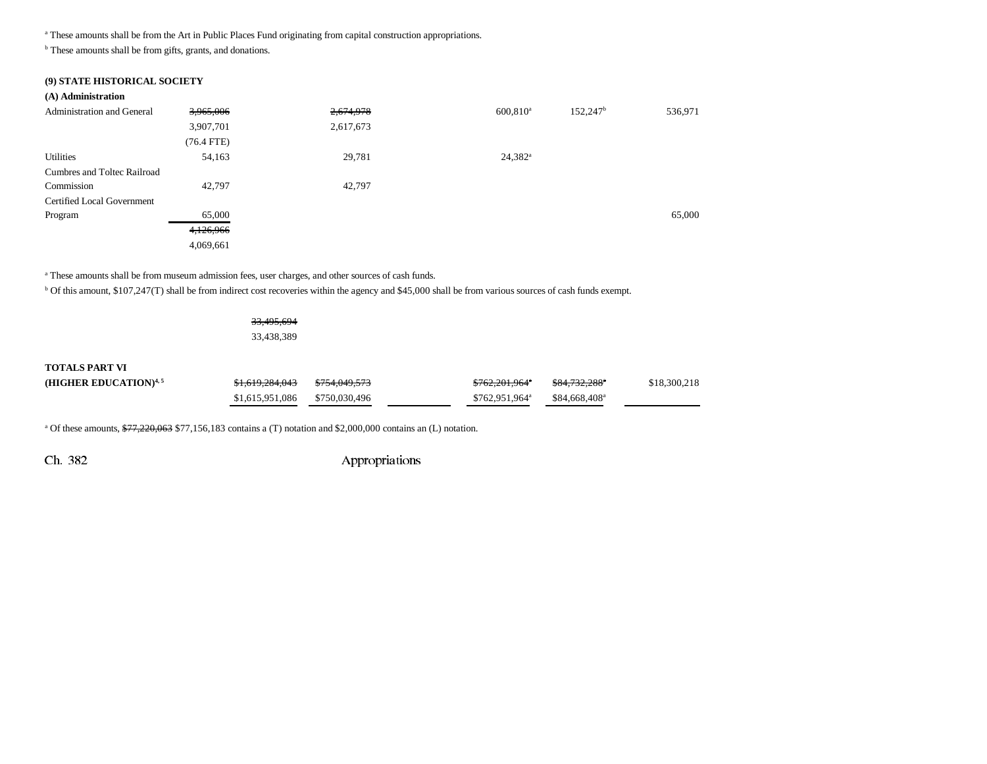a These amounts shall be from the Art in Public Places Fund originating from capital construction appropriations.

<sup>b</sup> These amounts shall be from gifts, grants, and donations.

#### **(9) STATE HISTORICAL SOCIETY**

#### **(A) Administration**

| <b>Administration and General</b> | 3,965,006    | 2,674,978 | $600,810$ <sup>a</sup> | 152,247 <sup>b</sup> | 536,971 |
|-----------------------------------|--------------|-----------|------------------------|----------------------|---------|
|                                   | 3,907,701    | 2,617,673 |                        |                      |         |
|                                   | $(76.4$ FTE) |           |                        |                      |         |
| Utilities                         | 54,163       | 29,781    | $24,382^{\rm a}$       |                      |         |
| Cumbres and Toltec Railroad       |              |           |                        |                      |         |
| Commission                        | 42,797       | 42,797    |                        |                      |         |
| Certified Local Government        |              |           |                        |                      |         |
| Program                           | 65,000       |           |                        |                      | 65,000  |
|                                   | 4,126,966    |           |                        |                      |         |
|                                   | 4,069,661    |           |                        |                      |         |

<sup>a</sup> These amounts shall be from museum admission fees, user charges, and other sources of cash funds.

b Of this amount, \$107,247(T) shall be from indirect cost recoveries within the agency and \$45,000 shall be from various sources of cash funds exempt.

33,495,694 33,438,389

#### **TOTALS PART VI**

| (HIGHER EDUCATION) $4,5$ | \$1,619,284,043               | <del>\$754.049.573</del> | <del>\$762,201,964</del> °  | <del>\$84.732.288</del> ° | \$18,300,218 |
|--------------------------|-------------------------------|--------------------------|-----------------------------|---------------------------|--------------|
|                          | \$1,615,951,086 \$750,030,496 |                          | $$762.951.964$ <sup>a</sup> | \$84.668.408 <sup>a</sup> |              |

<sup>a</sup> Of these amounts,  $\frac{677,220,063}{577,156,183}$  contains a (T) notation and \$2,000,000 contains an (L) notation.